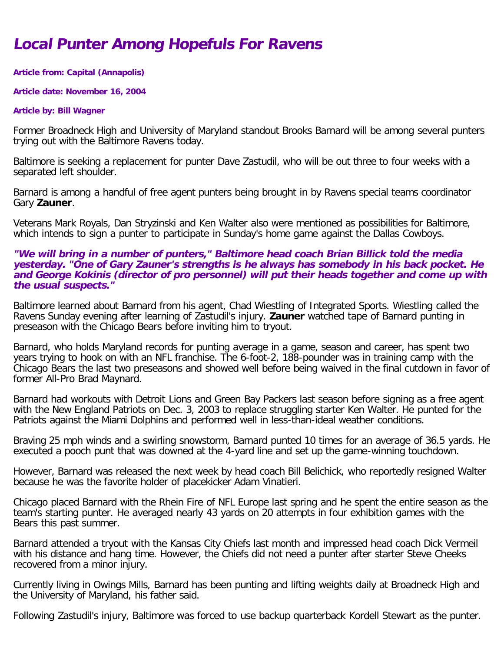# **Local Punter Among Hopefuls For Ravens**

## **Article from: Capital (Annapolis)**

### **Article date: November 16, 2004**

#### **Article by: Bill Wagner**

Former Broadneck High and University of Maryland standout Brooks Barnard will be among several punters trying out with the Baltimore Ravens today.

Baltimore is seeking a replacement for punter Dave Zastudil, who will be out three to four weeks with a separated left shoulder.

Barnard is among a handful of free agent punters being brought in by Ravens special teams coordinator Gary **Zauner**.

Veterans Mark Royals, Dan Stryzinski and Ken Walter also were mentioned as possibilities for Baltimore, which intends to sign a punter to participate in Sunday's home game against the Dallas Cowboys.

## **"We will bring in a number of punters," Baltimore head coach Brian Billick told the media yesterday. "One of Gary Zauner's strengths is he always has somebody in his back pocket. He and George Kokinis (director of pro personnel) will put their heads together and come up with the usual suspects."**

Baltimore learned about Barnard from his agent, Chad Wiestling of Integrated Sports. Wiestling called the Ravens Sunday evening after learning of Zastudil's injury. **Zauner** watched tape of Barnard punting in preseason with the Chicago Bears before inviting him to tryout.

Barnard, who holds Maryland records for punting average in a game, season and career, has spent two years trying to hook on with an NFL franchise. The 6-foot-2, 188-pounder was in training camp with the Chicago Bears the last two preseasons and showed well before being waived in the final cutdown in favor of former All-Pro Brad Maynard.

Barnard had workouts with Detroit Lions and Green Bay Packers last season before signing as a free agent with the New England Patriots on Dec. 3, 2003 to replace struggling starter Ken Walter. He punted for the Patriots against the Miami Dolphins and performed well in less-than-ideal weather conditions.

Braving 25 mph winds and a swirling snowstorm, Barnard punted 10 times for an average of 36.5 yards. He executed a pooch punt that was downed at the 4-yard line and set up the game-winning touchdown.

However, Barnard was released the next week by head coach Bill Belichick, who reportedly resigned Walter because he was the favorite holder of placekicker Adam Vinatieri.

Chicago placed Barnard with the Rhein Fire of NFL Europe last spring and he spent the entire season as the team's starting punter. He averaged nearly 43 yards on 20 attempts in four exhibition games with the Bears this past summer.

Barnard attended a tryout with the Kansas City Chiefs last month and impressed head coach Dick Vermeil with his distance and hang time. However, the Chiefs did not need a punter after starter Steve Cheeks recovered from a minor injury.

Currently living in Owings Mills, Barnard has been punting and lifting weights daily at Broadneck High and the University of Maryland, his father said.

Following Zastudil's injury, Baltimore was forced to use backup quarterback Kordell Stewart as the punter.